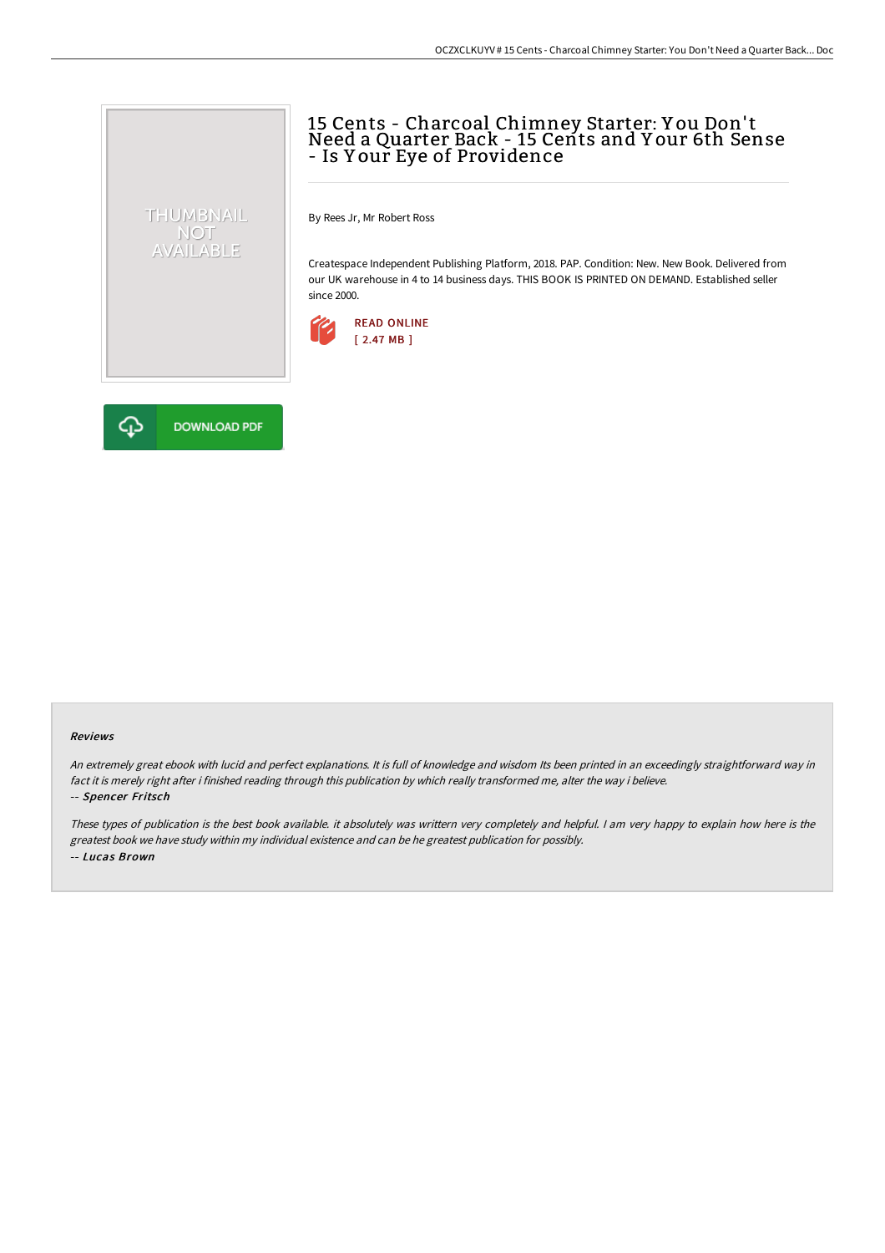# 15 Cents - Charcoal Chimney Starter: Y ou Don't Need a Quarter Back - 15 Cents and Y our 6th Sense - Is Y our Eye of Providence

By Rees Jr, Mr Robert Ross

Createspace Independent Publishing Platform, 2018. PAP. Condition: New. New Book. Delivered from our UK warehouse in 4 to 14 business days. THIS BOOK IS PRINTED ON DEMAND. Established seller since 2000.





THUMBNAIL NOT<br>AVAILABLE

#### Reviews

An extremely great ebook with lucid and perfect explanations. It is full of knowledge and wisdom Its been printed in an exceedingly straightforward way in fact it is merely right after i finished reading through this publication by which really transformed me, alter the way i believe. -- Spencer Fritsch

These types of publication is the best book available. it absolutely was writtern very completely and helpful. I am very happy to explain how here is the greatest book we have study within my individual existence and can be he greatest publication for possibly. -- Lucas Brown